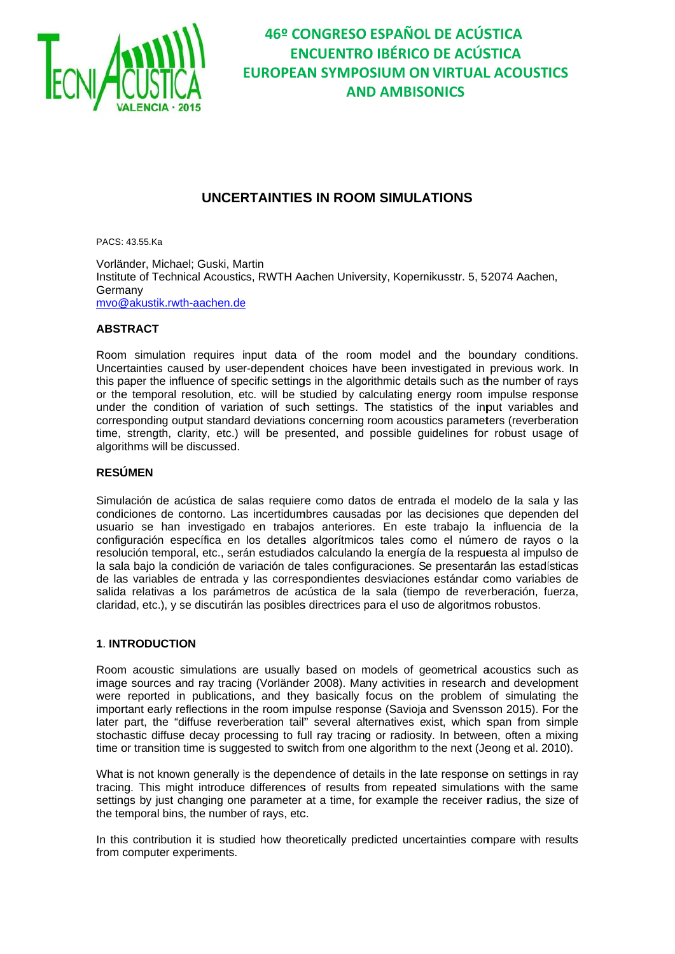

# **UNCERTAINTIES IN ROOM SIMULATIONS**

PACS: 43.55.Ka

Vorländer, Michael; Guski, Martin Institute of Technical Acoustics, RWTH Aachen University, Kopernikusstr. 5, 52074 Aachen, Germany mvo@akustik.rwth-aachen.de

### **ARSTRACT**

Room simulation requires input data of the room model and the boundary conditions. Uncertainties caused by user-dependent choices have been investigated in previous work. In this paper the influence of specific settings in the algorithmic details such as the number of rays or the temporal resolution, etc. will be studied by calculating energy room impulse response under the condition of variation of such settings. The statistics of the input variables and corresponding output standard deviations concerning room acoustics parameters (reverberation time, strength, clarity, etc.) will be presented, and possible guidelines for robust usage of algorithms will be discussed.

### **RESÚMEN**

Simulación de acústica de salas requiere como datos de entrada el modelo de la sala y las condiciones de contorno. Las incertidumbres causadas por las decisiones que dependen del usuario se han investigado en trabajos anteriores. En este trabajo la influencia de la configuración específica en los detalles algorítmicos tales como el número de rayos o la resolución temporal, etc., serán estudiados calculando la energía de la respuesta al impulso de la sala bajo la condición de variación de tales configuraciones. Se presentarán las estadísticas de las variables de entrada y las correspondientes desviaciones estándar como variables de salida relativas a los parámetros de acústica de la sala (tiempo de reverberación, fuerza, claridad, etc.), y se discutirán las posibles directrices para el uso de algoritmos robustos.

#### **1. INTRODUCTION**

Room acoustic simulations are usually based on models of geometrical acoustics such as image sources and ray tracing (Vorländer 2008). Many activities in research and development were reported in publications, and they basically focus on the problem of simulating the important early reflections in the room impulse response (Savioja and Svensson 2015). For the later part, the "diffuse reverberation tail" several alternatives exist, which span from simple stochastic diffuse decay processing to full ray tracing or radiosity. In between, often a mixing time or transition time is suggested to switch from one algorithm to the next (Jeong et al. 2010).

What is not known generally is the dependence of details in the late response on settings in ray tracing. This might introduce differences of results from repeated simulations with the same settings by just changing one parameter at a time, for example the receiver radius, the size of the temporal bins, the number of rays, etc.

In this contribution it is studied how theoretically predicted uncertainties compare with results from computer experiments.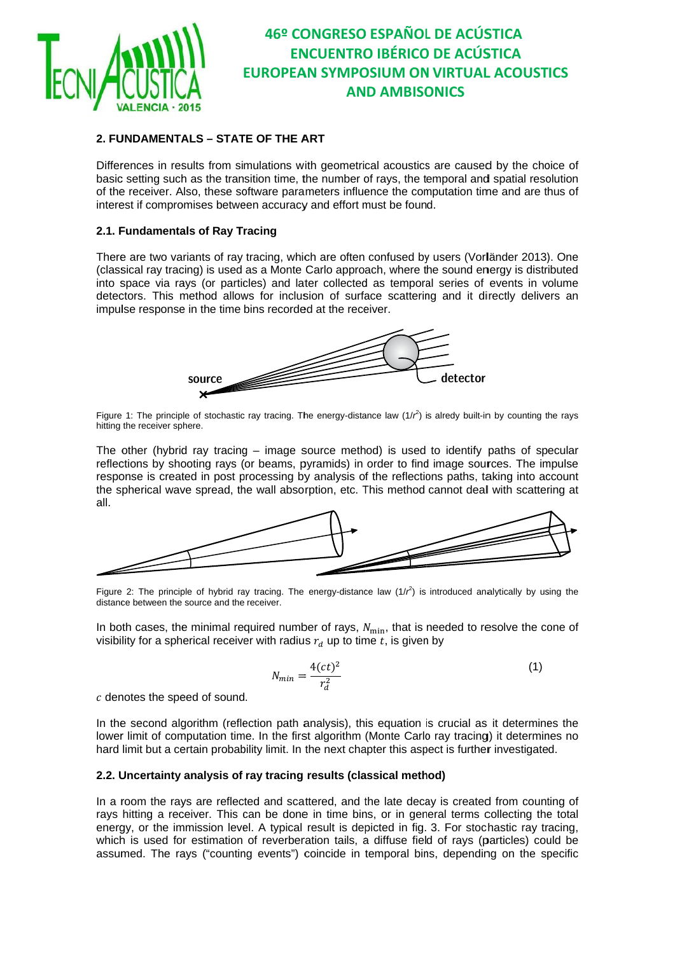

### 2. FUNDAMENTALS - STATE OF THE ART

Differences in results from simulations with geometrical acoustics are caused by the choice of basic setting such as the transition time, the number of rays, the temporal and spatial resolution of the receiver. Also, these software parameters influence the computation time and are thus of interest if compromises between accuracy and effort must be found.

### 2.1. Fundamentals of Ray Tracing

There are two variants of ray tracing, which are often confused by users (Vorländer 2013). One (classical ray tracing) is used as a Monte Carlo approach, where the sound energy is distributed into space via rays (or particles) and later collected as temporal series of events in volume detectors. This method allows for inclusion of surface scattering and it directly delivers an impulse response in the time bins recorded at the receiver.



Figure 1: The principle of stochastic ray tracing. The energy-distance law  $(1/r^2)$  is alredy built-in by counting the rays hitting the receiver sphere.

The other (hybrid ray tracing  $-$  image source method) is used to identify paths of specular reflections by shooting rays (or beams, pyramids) in order to find image sources. The impulse response is created in post processing by analysis of the reflections paths, taking into account the spherical wave spread, the wall absorption, etc. This method cannot deal with scattering at  $all.$ 



Figure 2: The principle of hybrid ray tracing. The energy-distance law  $(1/r^2)$  is introduced analytically by using the distance between the source and the receiver.

In both cases, the minimal required number of rays,  $N_{\text{min}}$ , that is needed to resolve the cone of visibility for a spherical receiver with radius  $r_d$  up to time t, is given by

$$
N_{min} = \frac{4(ct)^2}{r_d^2} \tag{1}
$$

 $c$  denotes the speed of sound.

In the second algorithm (reflection path analysis), this equation is crucial as it determines the lower limit of computation time. In the first algorithm (Monte Carlo ray tracing) it determines no hard limit but a certain probability limit. In the next chapter this aspect is further investigated.

#### 2.2. Uncertainty analysis of ray tracing results (classical method)

In a room the rays are reflected and scattered, and the late decay is created from counting of rays hitting a receiver. This can be done in time bins, or in general terms collecting the total energy, or the immission level. A typical result is depicted in fig. 3. For stochastic ray tracing, which is used for estimation of reverberation tails, a diffuse field of rays (particles) could be assumed. The rays ("counting events") coincide in temporal bins, depending on the specific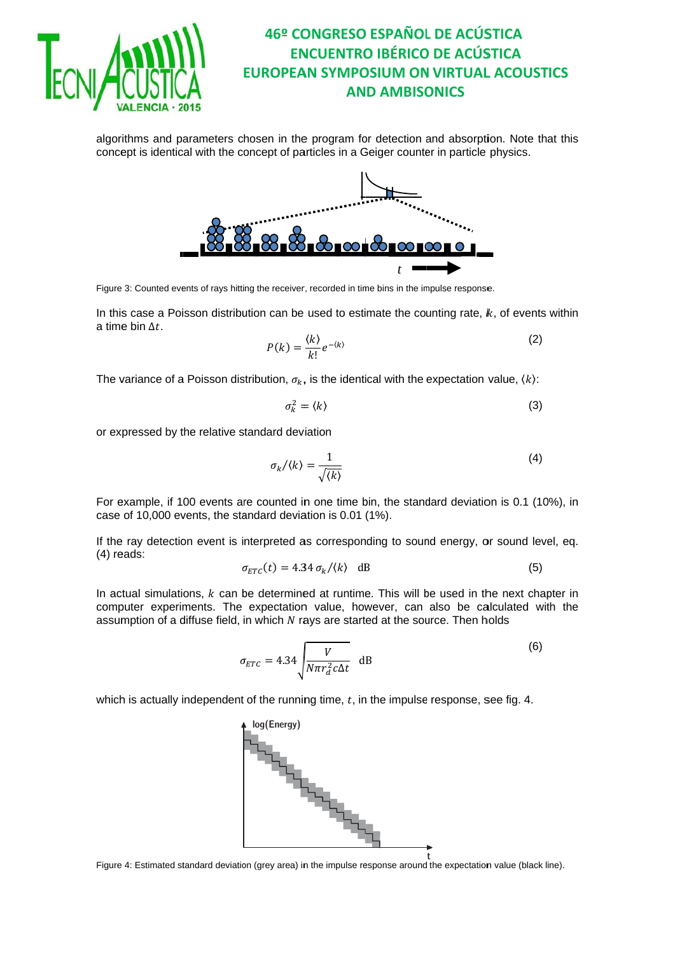

algorithms and parameters chosen in the program for detection and absorption. Note that this concept is identical with the concept of particles in a Geiger counter in particle physics.



Figure 3: Counted events of rays hitting the receiver, recorded in time bins in the impulse response.

In this case a Poisson distribution can be used to estimate the counting rate,  $k$ , of events within a time bin  $\Delta t$ .

$$
P(k) = \frac{\langle k \rangle}{k!} e^{-\langle k \rangle} \tag{2}
$$

The variance of a Poisson distribution,  $\sigma_k$ , is the identical with the expectation value,  $\langle k \rangle$ :

$$
\sigma_k^2 = \langle k \rangle \tag{3}
$$

or expressed by the relative standard deviation

$$
\sigma_k/\langle k \rangle = \frac{1}{\sqrt{\langle k \rangle}}\tag{4}
$$

For example, if 100 events are counted in one time bin, the standard deviation is 0.1 (10%), in case of 10,000 events, the standard deviation is 0.01 (1%).

If the ray detection event is interpreted as corresponding to sound energy, or sound level, eq.  $(4)$  reads:

$$
\sigma_{ETC}(t) = 4.34 \sigma_k / \langle k \rangle \quad \text{dB} \tag{5}
$$

In actual simulations, k can be determined at runtime. This will be used in the next chapter in computer experiments. The expectation value, however, can also be calculated with the assumption of a diffuse field, in which N rays are started at the source. Then holds

$$
\sigma_{ETC} = 4.34 \sqrt{\frac{V}{N \pi r_d^2 c \Delta t}} dB
$$
 (6)

which is actually independent of the running time,  $t$ , in the impulse response, see fig. 4.



Figure 4: Estimated standard deviation (grey area) in the impulse response around the expectation value (black line).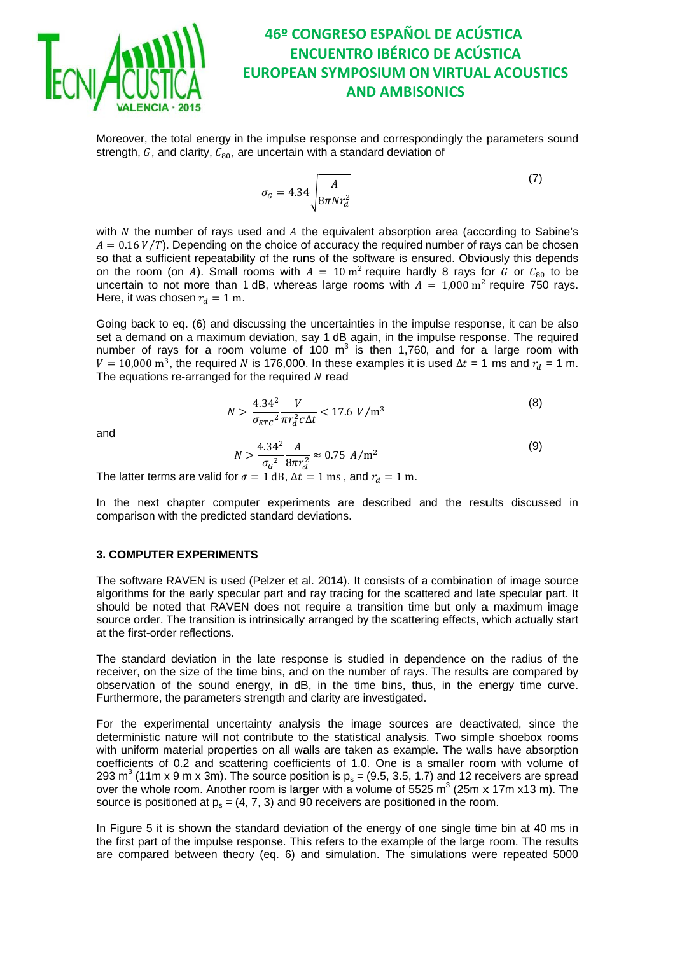

Moreover, the total energy in the impulse response and correspondingly the parameters sound strength,  $G$ , and clarity,  $C_{80}$ , are uncertain with a standard deviation of

$$
\sigma_G = 4.34 \sqrt{\frac{A}{8\pi N r_d^2}}\tag{7}
$$

with N the number of rays used and A the equivalent absorption area (according to Sabine's  $A = 0.16 V/T$ ). Depending on the choice of accuracy the required number of rays can be chosen so that a sufficient repeatability of the runs of the software is ensured. Obviously this depends on the room (on A). Small rooms with  $A = 10 \text{ m}^2$  require hardly 8 rays for G or  $C_{80}$  to be uncertain to not more than 1 dB, whereas large rooms with  $A = 1,000 \text{ m}^2$  require 750 rays. Here, it was chosen  $r_d = 1$  m.

Going back to eq. (6) and discussing the uncertainties in the impulse response, it can be also set a demand on a maximum deviation, say 1 dB again, in the impulse response. The required number of rays for a room volume of 100  $m^3$  is then 1,760, and for a large room with  $V = 10,000$  m<sup>3</sup>, the required N is 176,000. In these examples it is used  $\Delta t = 1$  ms and  $r_d = 1$  m. The equations re-arranged for the required  $N$  read

$$
N > \frac{4.34^2}{\sigma_{ETC}^2} \frac{V}{\pi r_a^2 c \Delta t} < 17.6 \ V/m^3
$$
 (8)

and

$$
N > \frac{4.34^2}{\sigma_G^2} \frac{A}{8\pi r_d^2} \approx 0.75 \ A/m^2
$$
 (9)

The latter terms are valid for  $\sigma = 1$  dB,  $\Delta t = 1$  ms, and  $r_d = 1$  m.

In the next chapter computer experiments are described and the results discussed in comparison with the predicted standard deviations.

#### **3. COMPUTER EXPERIMENTS**

The software RAVEN is used (Pelzer et al. 2014). It consists of a combination of image source algorithms for the early specular part and ray tracing for the scattered and late specular part. It should be noted that RAVEN does not require a transition time but only a maximum image source order. The transition is intrinsically arranged by the scattering effects, which actually start at the first-order reflections.

The standard deviation in the late response is studied in dependence on the radius of the receiver, on the size of the time bins, and on the number of rays. The results are compared by observation of the sound energy, in dB, in the time bins, thus, in the energy time curve. Furthermore, the parameters strength and clarity are investigated.

For the experimental uncertainty analysis the image sources are deactivated, since the deterministic nature will not contribute to the statistical analysis. Two simple shoebox rooms with uniform material properties on all walls are taken as example. The walls have absorption coefficients of 0.2 and scattering coefficients of 1.0. One is a smaller room with volume of 293 m<sup>3</sup> (11m x 9 m x 3m). The source position is  $p_s = (9.5, 3.5, 1.7)$  and 12 receivers are spread over the whole room. Another room is larger with a volume of 5525 m<sup>3</sup> (25m x 17m x13 m). The source is positioned at  $p_s = (4, 7, 3)$  and 90 receivers are positioned in the room.

In Figure 5 it is shown the standard deviation of the energy of one single time bin at 40 ms in the first part of the impulse response. This refers to the example of the large room. The results are compared between theory (eq. 6) and simulation. The simulations were repeated 5000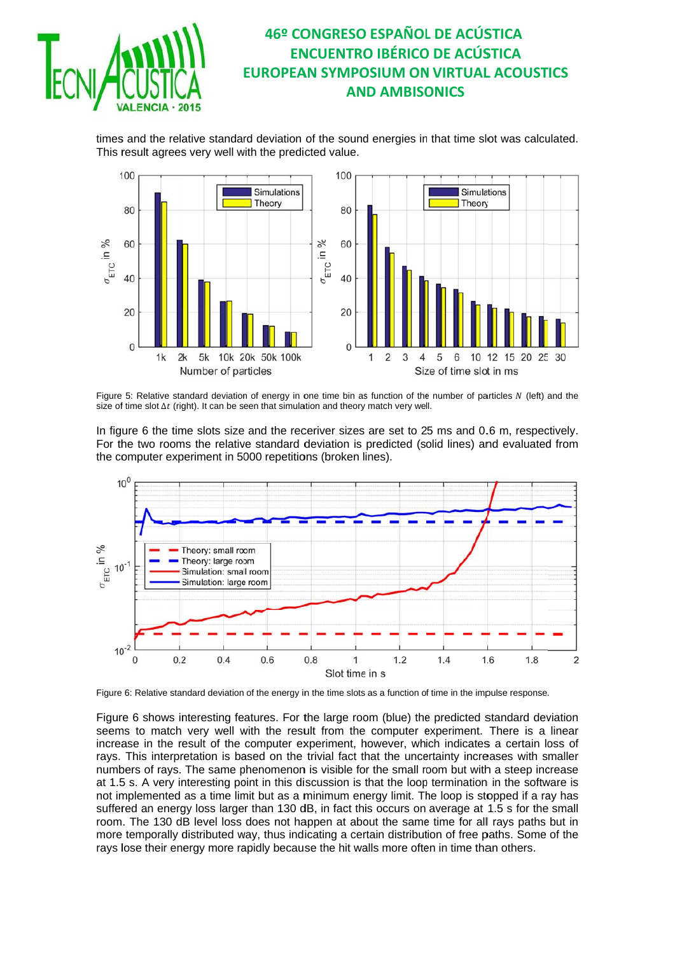

times and the relative standard deviation of the sound energies in that time slot was calculated. This result agrees very well with the predicted value.



Figure 5: Relative standard deviation of energy in one time bin as function of the number of particles N (left) and the size of time slot  $\Delta t$  (right). It can be seen that simulation and theory match very well.

In figure 6 the time slots size and the receriver sizes are set to 25 ms and 0.6 m, respectively. For the two rooms the relative standard deviation is predicted (solid lines) and evaluated from the computer experiment in 5000 repetitions (broken lines).



Figure 6: Relative standard deviation of the energy in the time slots as a function of time in the impulse response.

Figure 6 shows interesting features. For the large room (blue) the predicted standard deviation seems to match very well with the result from the computer experiment. There is a linear increase in the result of the computer experiment, however, which indicates a certain loss of rays. This interpretation is based on the trivial fact that the uncertainty increases with smaller numbers of rays. The same phenomenon is visible for the small room but with a steep increase at 1.5 s. A very interesting point in this discussion is that the loop termination in the software is not implemented as a time limit but as a minimum energy limit. The loop is stopped if a ray has suffered an energy loss larger than 130 dB, in fact this occurs on average at 1.5 s for the small room. The 130 dB level loss does not happen at about the same time for all rays paths but in more temporally distributed way, thus indicating a certain distribution of free paths. Some of the rays lose their energy more rapidly because the hit walls more often in time than others.